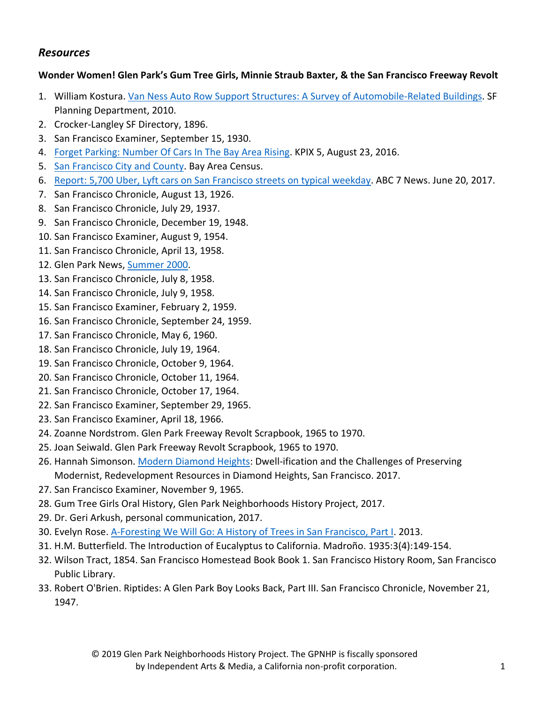## *Resources*

## **Wonder Women! Glen Park's Gum Tree Girls, Minnie Straub Baxter, & the San Francisco Freeway Revolt**

- 1. William Kostura. [Van Ness Auto Row Support Structures: A Survey of Automobile-Related Buildings.](http://ohp.parks.ca.gov/pages/1054/files/van%20ness%20auto%20row.pdf) SF Planning Department, 2010.
- 2. Crocker-Langley SF Directory, 1896.
- 3. San Francisco Examiner, September 15, 1930.
- 4. [Forget Parking: Number Of Cars In The Bay Area Rising.](https://sanfrancisco.cbslocal.com/2016/08/23/forget-parking-number-of-cars-in-the-bay-area-rising/) KPIX 5, August 23, 2016.
- 5. [San Francisco City and County.](http://www.bayareacensus.ca.gov/counties/SanFranciscoCounty40.htm) Bay Area Census.
- 6. [Report: 5,700 Uber, Lyft cars on San Francisco streets on typical weekday.](Report:%205,700%20Uber,%20Lyft%20cars%20on%20San%20Francisco%20streets%20on%20typical%20weekday) ABC 7 News. June 20, 2017.
- 7. San Francisco Chronicle, August 13, 1926.
- 8. San Francisco Chronicle, July 29, 1937.
- 9. San Francisco Chronicle, December 19, 1948.
- 10. San Francisco Examiner, August 9, 1954.
- 11. San Francisco Chronicle, April 13, 1958.
- 12. Glen Park News, [Summer 2000.](https://archive.org/details/glenparknewssummunse_3)
- 13. San Francisco Chronicle, July 8, 1958.
- 14. San Francisco Chronicle, July 9, 1958.
- 15. San Francisco Examiner, February 2, 1959.
- 16. San Francisco Chronicle, September 24, 1959.
- 17. San Francisco Chronicle, May 6, 1960.
- 18. San Francisco Chronicle, July 19, 1964.
- 19. San Francisco Chronicle, October 9, 1964.
- 20. San Francisco Chronicle, October 11, 1964.
- 21. San Francisco Chronicle, October 17, 1964.
- 22. San Francisco Examiner, September 29, 1965.
- 23. San Francisco Examiner, April 18, 1966.
- 24. Zoanne Nordstrom. Glen Park Freeway Revolt Scrapbook, 1965 to 1970.
- 25. Joan Seiwald. Glen Park Freeway Revolt Scrapbook, 1965 to 1970.
- 26. Hannah Simonson. [Modern Diamond Heights:](https://hannahlisesimonson.com/modern-diamond-heights/) Dwell-ification and the Challenges of Preserving Modernist, Redevelopment Resources in Diamond Heights, San Francisco. 2017.
- 27. San Francisco Examiner, November 9, 1965.
- 28. Gum Tree Girls Oral History, Glen Park Neighborhoods History Project, 2017.
- 29. Dr. Geri Arkush, personal communication, 2017.
- 30. Evelyn Rose. [A-Foresting We Will Go: A History of Trees in San Francisco, Part I.](http://www.trampsofsanfrancisco.com/a-foresting-we-will-go-a-history-of-trees-in-san-francisco/) 2013.
- 31. H.M. Butterfield. The Introduction of Eucalyptus to California. Madroño. 1935:3(4):149-154.
- 32. Wilson Tract, 1854. San Francisco Homestead Book Book 1. San Francisco History Room, San Francisco Public Library.
- 33. Robert O'Brien. Riptides: A Glen Park Boy Looks Back, Part III. San Francisco Chronicle, November 21, 1947.